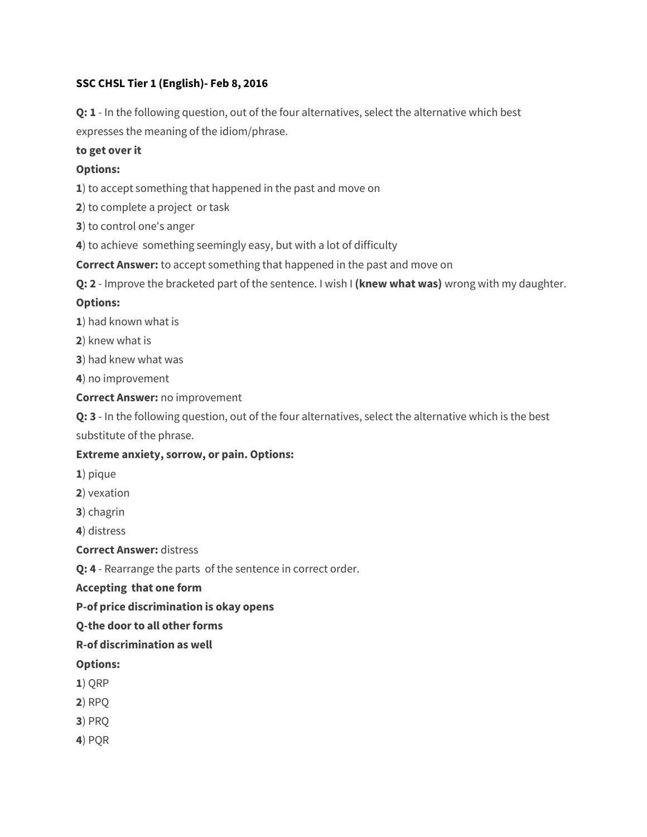### **SSC CHSL Tier 1 (English)- Feb 8, 2016**

**Q: 1** - In the following question, out of the four alternatives, select the alternative which best expresses the meaning of the idiom/phrase.

#### **to get over it**

### **Options:**

**1**) to accept something that happened in the past and move on

**2**) to complete a project or task

**3**) to control one's anger

**4**) to achieve something seemingly easy, but with a lot of difficulty

**Correct Answer:** to accept something that happened in the past and move on

**Q: 2** - Improve the bracketed part of the sentence. I wish I **(knew what was)** wrong with my daughter.

#### **Options:**

**1**) had known what is

**2**) knew what is

**3**) had knew what was

**4**) no improvement

**Correct Answer:** no improvement

**Q: 3** - In the following question, out of the four alternatives, select the alternative which is the best substitute of the phrase.

#### **Extreme anxiety, sorrow, or pain. Options:**

- **1**) pique
- **2**) vexation
- **3**) chagrin
- **4**) distress

**Correct Answer:** distress

**Q: 4** - Rearrange the parts of the sentence in correct order.

#### **Accepting that one form**

**P-of price discrimination is okay opens**

**Q-the door to all other forms**

**R-of discrimination as well**

#### **Options:**

- **1**) QRP
- **2**) RPQ
- **3**) PRQ
- **4**) PQR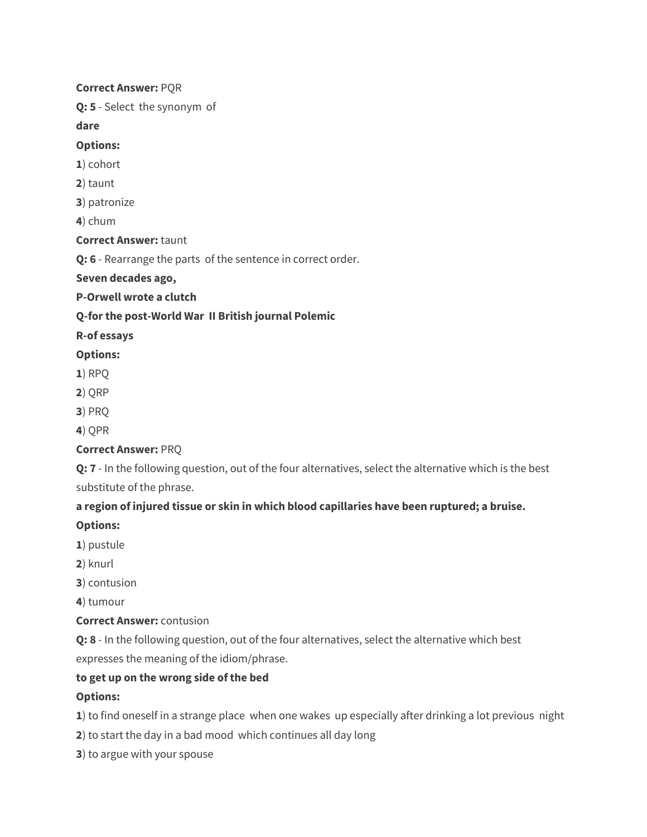#### **Correct Answer:** PQR

**Q: 5** - Select the synonym of

**dare**

### **Options:**

- **1**) cohort
- **2**) taunt
- **3**) patronize

**4**) chum

### **Correct Answer:** taunt

**Q: 6** - Rearrange the parts of the sentence in correct order.

### **Seven decades ago,**

**P-Orwell wrote a clutch**

### **Q-for the post-World War II British journal Polemic**

### **R-of essays**

### **Options:**

- **1**) RPQ
- **2**) QRP
- **3**) PRQ
- **4**) QPR

# **Correct Answer:** PRQ

**Q: 7** - In the following question, out of the four alternatives, select the alternative which is the best substitute of the phrase.

# **a region of injured tissue or skin in which blood capillaries have been ruptured; a bruise.**

**Options:**

- **1**) pustule
- **2**) knurl
- **3**) contusion

**4**) tumour

### **Correct Answer:** contusion

**Q: 8** - In the following question, out of the four alternatives, select the alternative which best expresses the meaning of the idiom/phrase.

# **to get up on the wrong side of the bed**

# **Options:**

**1**) to find oneself in a strange place when one wakes up especially after drinking a lot previous night

- **2**) to start the day in a bad mood which continues all day long
- **3**) to argue with your spouse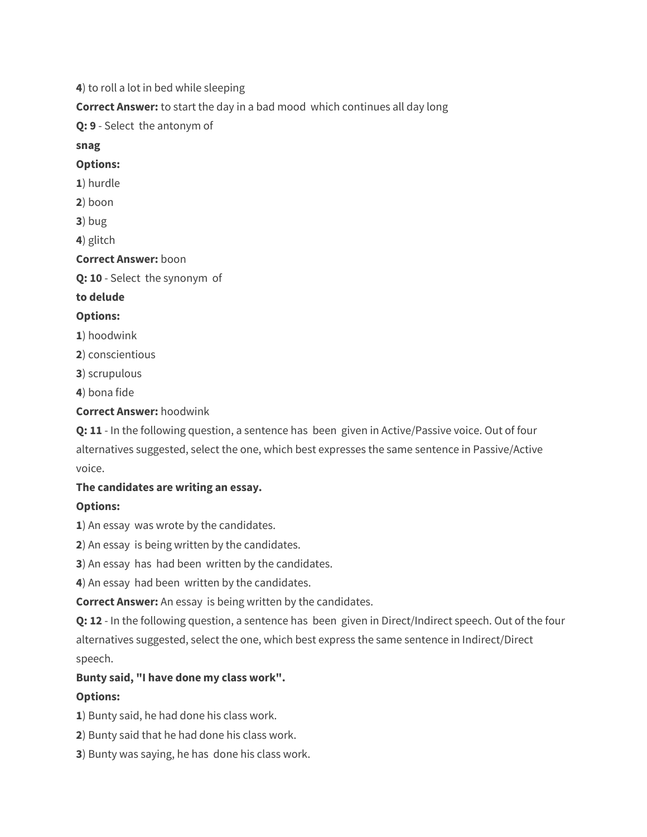**4**) to roll a lot in bed while sleeping

**Correct Answer:** to start the day in a bad mood which continues all day long

**Q: 9** - Select the antonym of

**snag**

### **Options:**

- **1**) hurdle
- **2**) boon
- **3**) bug

**4**) glitch

### **Correct Answer:** boon

**Q: 10** - Select the synonym of

**to delude**

### **Options:**

- **1**) hoodwink
- **2**) conscientious
- **3**) scrupulous
- **4**) bona fide

### **Correct Answer:** hoodwink

**Q: 11** - In the following question, a sentence has been given in Active/Passive voice. Out of four alternatives suggested, select the one, which best expresses the same sentence in Passive/Active voice.

### **The candidates are writing an essay.**

### **Options:**

**1**) An essay was wrote by the candidates.

**2**) An essay is being written by the candidates.

**3**) An essay has had been written by the candidates.

**4**) An essay had been written by the candidates.

**Correct Answer:** An essay is being written by the candidates.

**Q: 12** - In the following question, a sentence has been given in Direct/Indirect speech. Out of the four alternatives suggested, select the one, which best express the same sentence in Indirect/Direct speech.

# **Bunty said, "I have done my class work".**

# **Options:**

**1**) Bunty said, he had done his class work.

- **2**) Bunty said that he had done his class work.
- **3**) Bunty was saying, he has done his class work.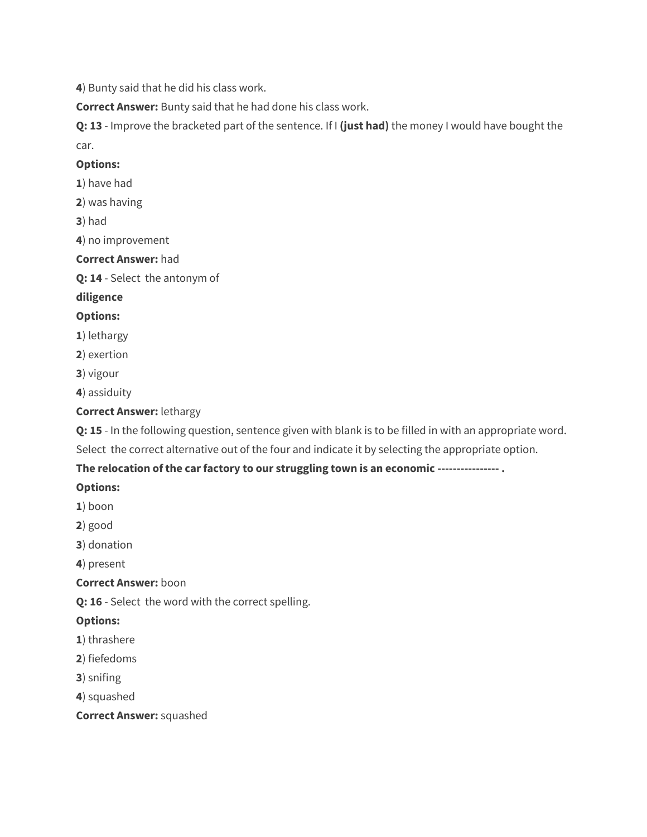**4**) Bunty said that he did his class work.

**Correct Answer:** Bunty said that he had done his class work.

**Q: 13** - Improve the bracketed part of the sentence. If I **(just had)** the money I would have bought the car.

### **Options:**

- **1**) have had
- **2**) was having

**3**) had

**4**) no improvement

### **Correct Answer:** had

**Q: 14** - Select the antonym of

### **diligence**

# **Options:**

- **1**) lethargy
- **2**) exertion
- **3**) vigour
- **4**) assiduity

# **Correct Answer:** lethargy

**Q: 15** - In the following question, sentence given with blank is to be filled in with an appropriate word.

Select the correct alternative out of the four and indicate it by selecting the appropriate option.

# **The relocation of the car factory to our struggling town is an economic ---------------- .**

# **Options:**

- **1**) boon
- **2**) good
- **3**) donation

**4**) present

# **Correct Answer:** boon

**Q: 16** - Select the word with the correct spelling.

# **Options:**

- **1**) thrashere
- **2**) fiefedoms
- **3**) snifing
- **4**) squashed

**Correct Answer:** squashed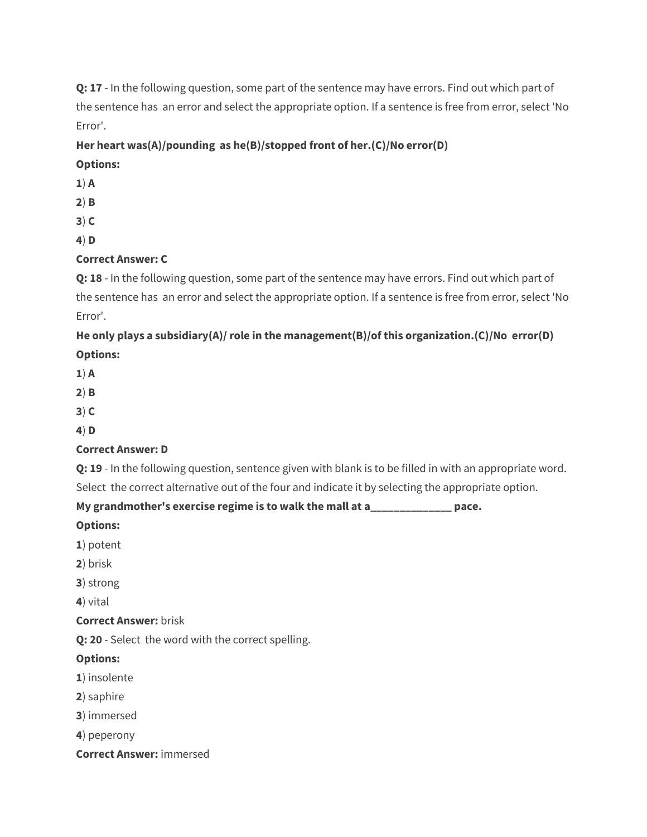**Q: 17** - In the following question, some part of the sentence may have errors. Find out which part of the sentence has an error and select the appropriate option. If a sentence is free from error, select 'No Error'.

### **Her heart was(A)/pounding as he(B)/stopped front of her.(C)/No error(D)**

### **Options:**

- **1**) **A**
- **2**) **B**
- **3**) **C**
- **4**) **D**

# **Correct Answer: C**

**Q: 18** - In the following question, some part of the sentence may have errors. Find out which part of the sentence has an error and select the appropriate option. If a sentence is free from error, select 'No Error'.

# **He only plays a subsidiary(A)/ role in the management(B)/of this organization.(C)/No error(D) Options:**

- **1**) **A**
- **2**) **B**
- **3**) **C**
- **4**) **D**

# **Correct Answer: D**

**Q: 19** - In the following question, sentence given with blank is to be filled in with an appropriate word.

Select the correct alternative out of the four and indicate it by selecting the appropriate option.

# **My grandmother's exercise regime is to walk the mall at a\_\_\_\_\_\_\_\_\_\_\_\_\_\_ pace.**

### **Options:**

- **1**) potent
- **2**) brisk
- **3**) strong

**4**) vital

# **Correct Answer:** brisk

**Q: 20** - Select the word with the correct spelling.

# **Options:**

- **1**) insolente
- **2**) saphire
- **3**) immersed
- **4**) peperony
- **Correct Answer:** immersed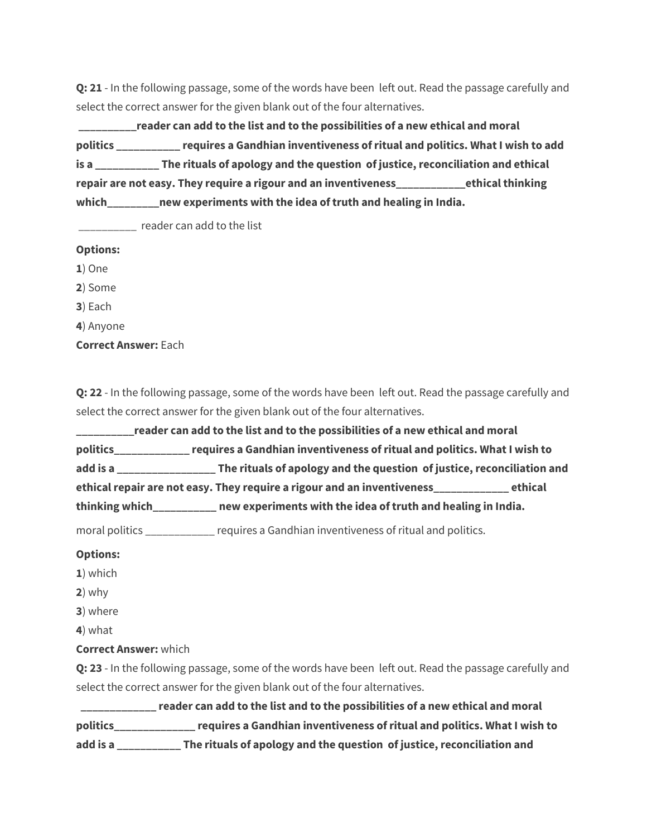**Q: 21** - In the following passage, some of the words have been left out. Read the passage carefully and select the correct answer for the given blank out of the four alternatives.

 **\_\_\_\_\_\_\_\_\_\_reader can add to the list and to the possibilities of a new ethical and moral politics \_\_\_\_\_\_\_\_\_\_\_ requires a Gandhian inventiveness of ritual and politics. What I wish to add is a \_\_\_\_\_\_\_\_\_\_\_ The rituals of apology and the question of justice, reconciliation and ethical repair are not easy. They require a rigour and an inventiveness\_\_\_\_\_\_\_\_\_\_\_\_ethical thinking which\_\_\_\_\_\_\_\_\_new experiments with the idea of truth and healing in India.**

\_\_\_\_\_\_\_\_\_\_ reader can add to the list

#### **Options:**

**1**) One

**2**) Some

**3**) Each

**4**) Anyone

**Correct Answer:** Each

**Q: 22** - In the following passage, some of the words have been left out. Read the passage carefully and select the correct answer for the given blank out of the four alternatives.

**\_\_\_\_\_\_\_\_\_\_reader can add to the list and to the possibilities of a new ethical and moral politics\_\_\_\_\_\_\_\_\_\_\_\_\_ requires a Gandhian inventiveness of ritual and politics. What I wish to add is a \_\_\_\_\_\_\_\_\_\_\_\_\_\_\_\_\_ The rituals of apology and the question of justice, reconciliation and ethical repair are not easy. They require a rigour and an inventiveness\_\_\_\_\_\_\_\_\_\_\_\_\_ ethical thinking which\_\_\_\_\_\_\_\_\_\_\_ new experiments with the idea of truth and healing in India.**

moral politics \_\_\_\_\_\_\_\_\_\_\_\_ requires a Gandhian inventiveness of ritual and politics.

#### **Options:**

- **1**) which
- **2**) why
- **3**) where
- **4**) what

#### **Correct Answer:** which

**Q: 23** - In the following passage, some of the words have been left out. Read the passage carefully and select the correct answer for the given blank out of the four alternatives.

 **\_\_\_\_\_\_\_\_\_\_\_\_\_ reader can add to the list and to the possibilities of a new ethical and moral politics\_\_\_\_\_\_\_\_\_\_\_\_\_\_ requires a Gandhian inventiveness of ritual and politics. What I wish to add is a \_\_\_\_\_\_\_\_\_\_\_ The rituals of apology and the question of justice, reconciliation and**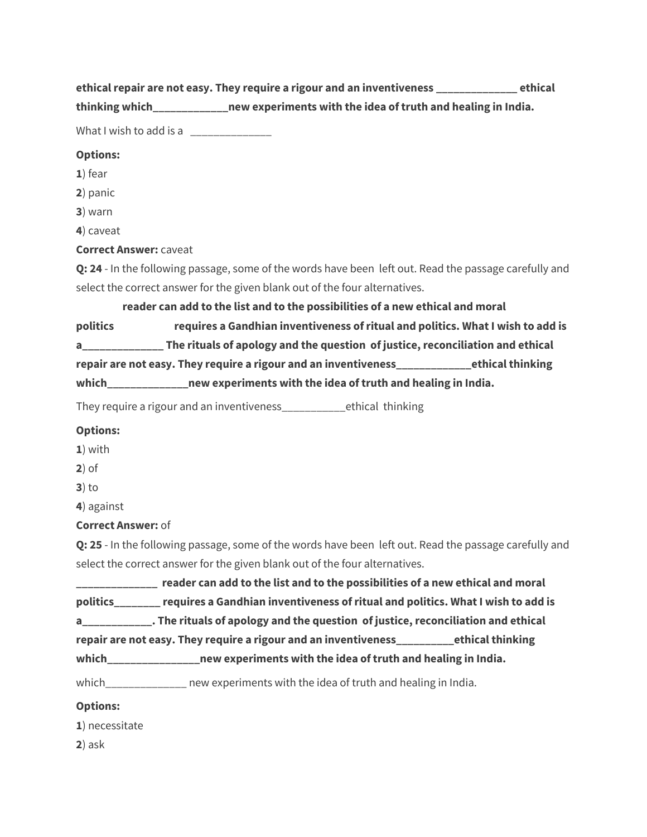**ethical repair are not easy. They require a rigour and an inventiveness \_\_\_\_\_\_\_\_\_\_\_\_\_\_ ethical** 

**thinking which\_\_\_\_\_\_\_\_\_\_\_\_\_new experiments with the idea of truth and healing in India.**

What I wish to add is a

#### **Options:**

- **1**) fear
- **2**) panic
- **3**) warn
- **4**) caveat

**Correct Answer:** caveat

**Q: 24** - In the following passage, some of the words have been left out. Read the passage carefully and select the correct answer for the given blank out of the four alternatives.

 **reader can add to the list and to the possibilities of a new ethical and moral politics requires a Gandhian inventiveness of ritual and politics. What I wish to add is a\_\_\_\_\_\_\_\_\_\_\_\_\_\_ The rituals of apology and the question of justice, reconciliation and ethical repair are not easy. They require a rigour and an inventiveness\_\_\_\_\_\_\_\_\_\_\_\_\_ethical thinking which\_\_\_\_\_\_\_\_\_\_\_\_\_\_new experiments with the idea of truth and healing in India.**

They require a rigour and an inventiveness\_\_\_\_\_\_\_\_\_\_\_ethical thinking

#### **Options:**

- **1**) with
- **2**) of
- **3**) to

**4**) against

**Correct Answer:** of

**Q: 25** - In the following passage, some of the words have been left out. Read the passage carefully and select the correct answer for the given blank out of the four alternatives.

**\_\_\_\_\_\_\_\_\_\_\_\_\_\_ reader can add to the list and to the possibilities of a new ethical and moral politics\_\_\_\_\_\_\_\_ requires a Gandhian inventiveness of ritual and politics. What I wish to add is a\_\_\_\_\_\_\_\_\_\_\_\_. The rituals of apology and the question of justice, reconciliation and ethical repair are not easy. They require a rigour and an inventiveness\_\_\_\_\_\_\_\_\_\_ethical thinking** 

**which\_\_\_\_\_\_\_\_\_\_\_\_\_\_\_\_new experiments with the idea of truth and healing in India.**

which mew experiments with the idea of truth and healing in India.

### **Options:**

**1**) necessitate

**2**) ask